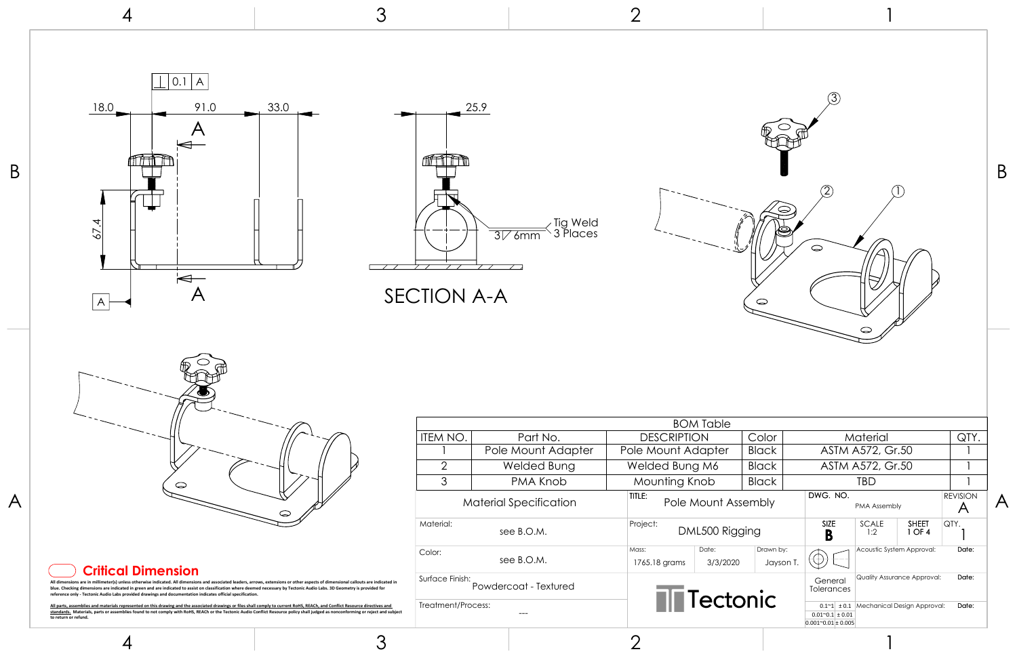

4

3



3

2

1

|                                                                                                                                                                                                        | 3                                                   | $\bigcap$                                                                                                                                                                                     |                                                                                                                                                                                   |                                                                                                                                         |                                                                              |
|--------------------------------------------------------------------------------------------------------------------------------------------------------------------------------------------------------|-----------------------------------------------------|-----------------------------------------------------------------------------------------------------------------------------------------------------------------------------------------------|-----------------------------------------------------------------------------------------------------------------------------------------------------------------------------------|-----------------------------------------------------------------------------------------------------------------------------------------|------------------------------------------------------------------------------|
| 0.1<br>18.0<br>91.0<br>33.0<br>67.4<br>$\overline{\blacktriangleleft}$<br>$\boldsymbol{\mathsf{A}}$<br>$\mathsf{A}$                                                                                    | 25.9                                                |                                                                                                                                                                                               |                                                                                                                                                                                   |                                                                                                                                         | B                                                                            |
| $\bigcirc$<br>ى                                                                                                                                                                                        | <b>ITEM NO.</b><br>$\overline{2}$<br>3<br>Material: | <b>DESCRIPTION</b><br>Part No.<br>PMA Knob<br>TITLE:<br>Project:<br>Mass:                                                                                                                     | Color<br><b>Black</b><br><b>Black</b><br><b>Black</b><br>Drawn by:                                                                                                                | Material<br><b>TBD</b><br>PMA Assembly<br>SHEET<br>SIZE<br><b>SCALE</b><br>1 OF 4<br>1:2<br>B<br>Acoustic System Approval:              | QTY.<br><b>REVISION</b><br>$\mathcal{A}$<br>$\bigwedge$<br>QTY.<br>Date:     |
| <b>Critical Dimension</b><br>blue. Checking dimensions are indicated in green and are indicated to assist on classification where deemed necessary by Tectonic Audio Labs. 3D Geometry is provided for | Surface Finish:                                     | 1765.18 grams                                                                                                                                                                                 | Jayson T.<br><b>T</b> Tectonic                                                                                                                                                    | Quality Assurance Approval:<br>Tolerances                                                                                               | Date:                                                                        |
|                                                                                                                                                                                                        |                                                     | Color:<br>All dimensions are in millimeter(s) unless otherwise indicated. All dimensions and associated leaders, arrows, extensions or other aspects of dimensional callouts are indicated in | $\overline{3\sqrt{6}}$ mm<br><b>SECTION A-A</b><br>Pole Mount Adapter<br><b>Welded Bung</b><br><b>Material Specification</b><br>see B.O.M.<br>see B.O.M.<br>Powdercoat - Textured | <b>BOM Table</b><br>Pole Mount Adapter<br>Welded Bung M6<br>Mounting Knob<br>Pole Mount Assembly<br>DML500 Rigging<br>Date:<br>3/3/2020 | ○<br>ASTM A572, Gr.50<br>ASTM A572, Gr.50<br>DWG. NO.<br>$\oplus$<br>General |

## **Critical Dimension**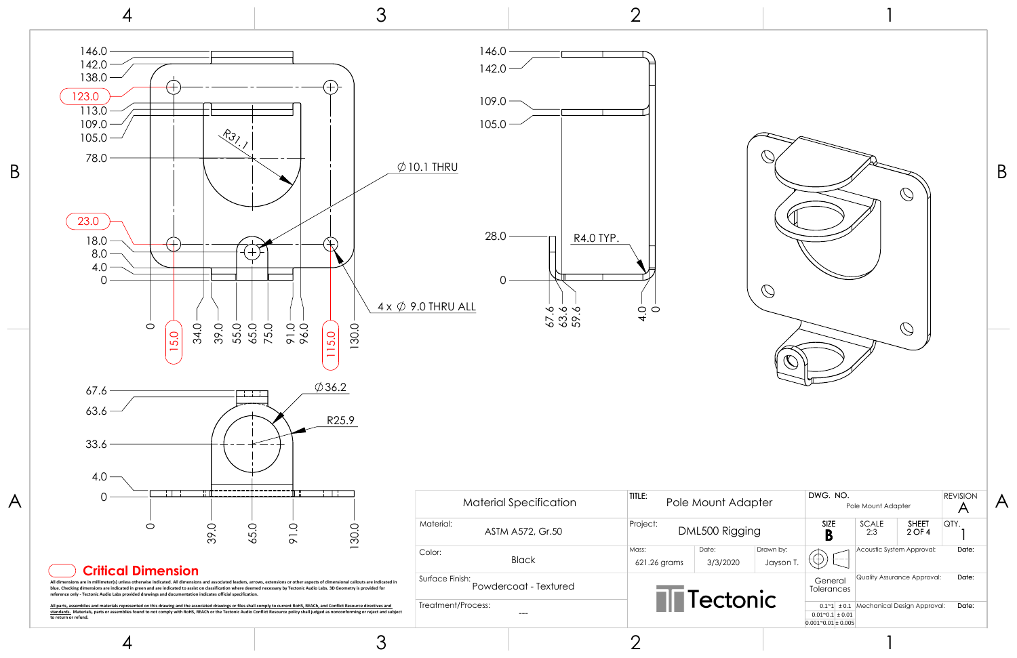4

3

2



|                                             |                                                                                                           |                           |                                                            |                | B |
|---------------------------------------------|-----------------------------------------------------------------------------------------------------------|---------------------------|------------------------------------------------------------|----------------|---|
|                                             |                                                                                                           |                           |                                                            |                |   |
| <b>Nount Adapter</b>                        | DWG. NO.<br><b>REVISION</b><br>Pole Mount Adapter<br>A                                                    |                           |                                                            |                |   |
| 500 Rigging                                 | SIZE<br>B                                                                                                 | SCALE<br>2:3              | <b>SHEET</b><br>2 OF 4                                     | QTY.           |   |
| Date:<br>Drawn by:<br>3/3/2020<br>Jayson T. |                                                                                                           | Acoustic System Approval: |                                                            | Date:          |   |
| ectonic                                     | General<br>Tolerances<br>$0.1^{\sim}1$ ± 0.1<br>$0.01^{\sim}0.1 \pm 0.01$<br>$0.001^{\sim}0.01 \pm 0.005$ |                           | Quality Assurance Approval:<br>Mechanical Design Approval: | Date:<br>Date: |   |
|                                             |                                                                                                           |                           |                                                            |                |   |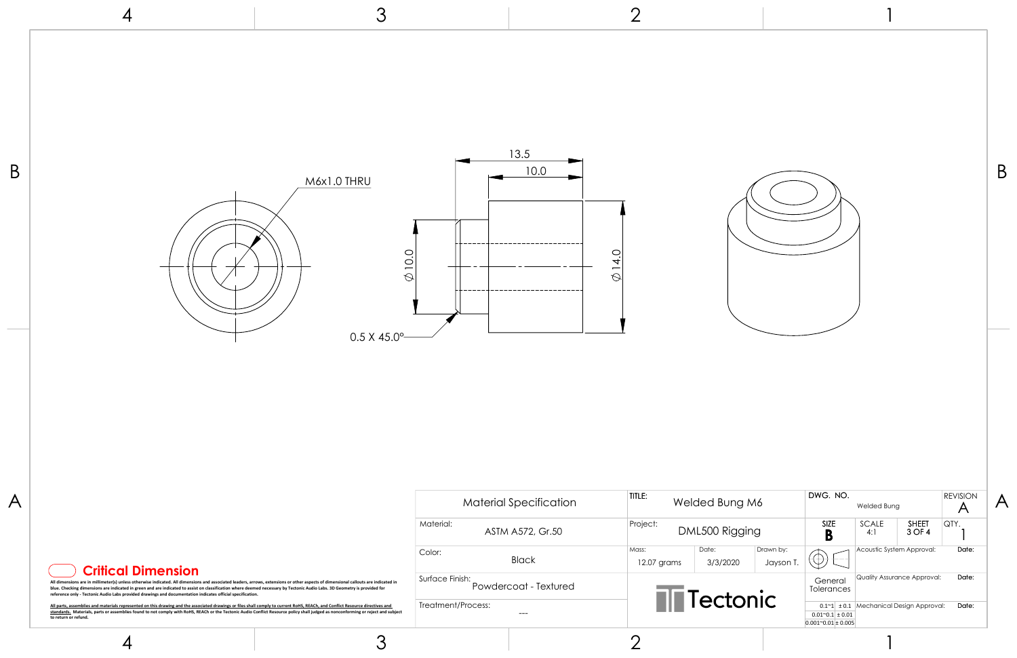

3

2